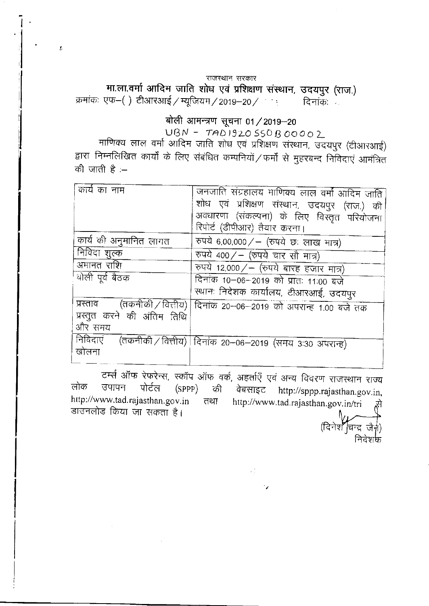#### राजस्थान सरकार

मा.ला.वर्मा आदिम जाति शोध एवं प्रशिक्षण संस्थान, उदयपुर (राज.) क्रमांकः एफ–() टीआरआई / म्यूजियम / 2019–20 / दिनाकः

 $\bar{L}$ 

# बोली आमन्त्रण सूचना 01 / 2019-20

 $UBN - TAD1920550B00002$ 

माणिक्य लाल वर्मा आदिम जाति शोध एवं प्रशिक्षण संस्थान, उदयपुर (टीआरआई) द्वारा निम्नलिखित कार्यों के लिए संबंधित कम्पनियों / फर्मों से मुहरबन्द निविदाएं आमंत्रित की जाती है $=$ 

| कार्य का नाम                | जनजाति संग्रहालय माणिक्य लाल वर्मा आदिम जाति                         |
|-----------------------------|----------------------------------------------------------------------|
|                             | शोध एवं प्रशिक्षण संस्थान, उदयपुर (राज.) की                          |
|                             | अवधारणा (संकल्पना) के लिए विस्तृत परियोजना                           |
|                             | रिपोर्ट (डीपीआर) तैयार करना।                                         |
| कार्य की अनुमानित लागत      | रुपये 6,00,000/ – (रुपये छः लाख मात्र)                               |
| निविदा शुल्क                | रुपये 400/ - (रुपये चार सौ मात्र)                                    |
| अमानत राशि                  | रुपये 12,000/ - (रुपये बारह हजार मात्र)                              |
| बोली पूर्व बैठक             | दिनांक 10-06-2019 को प्रातः 11:00 बजे                                |
|                             | स्थानः निदेशक कार्यालय, टीआरआई, उदयपुर                               |
|                             | प्रस्ताव (तकनीकी / वित्तीय) दिनांक 20-06-2019 को अपरान्ह 1.00 बजे तक |
| प्रस्तुत करने की अंतिम तिथि |                                                                      |
| और समय                      |                                                                      |
|                             | निविदाएं (तकनीकी / वित्तीय) दिनांक 20–06–2019 (समय 3:30 अपरान्ह)     |
| खोलना                       |                                                                      |
|                             |                                                                      |

टर्म्स ऑफ रेफरेन्स, स्कॉप ऑफ वर्क, अहर्ताएँ एवं अन्य विवरण राजस्थान राज्य लोक उपापन पोर्टल  $(SPPP)$ की वेबसाइट http://sppp.rajasthan.gov.in, http://www.tad.rajasthan.gov.in तथा http://www.tad.rajasthan.gov.in/tri डाउनलोड किया जा सकता है।

(दिनेश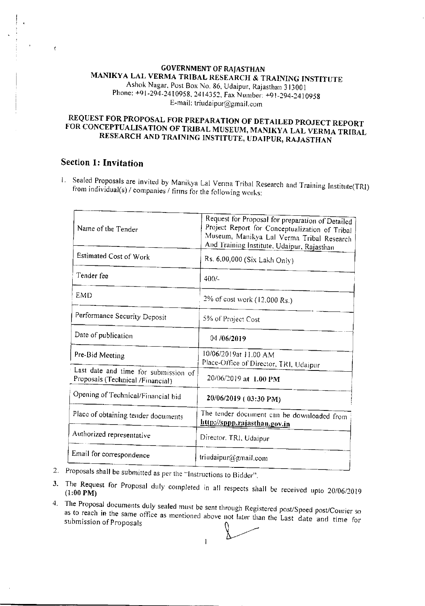## **GOVERNMENT OF RAJASTHAN** MANIKYA LAL VERMA TRIBAL RESEARCH & TRAINING INSTITUTE Ashok Nagar, Post Box No. 86, Udaipur, Rajasthan 313001 Phone: +91-294-2410958, 2414352, Fax Number: +91-294-2410958 E-mail: triudaipur@gmail.com

# REQUEST FOR PROPOSAL FOR PREPARATION OF DETAILED PROJECT REPORT FOR CONCEPTUALISATION OF TRIBAL MUSEUM, MANIKYA LAL VERMA TRIBAL RESEARCH AND TRAINING INSTITUTE, UDAIPUR, RAJASTHAN

# **Section 1: Invitation**

1. Sealed Proposals are invited by Manikya Lal Verma Tribal Research and Training Institute(TRI) from individual(s) / companies / firms for the following works:

| Name of the Tender                                                       | Request for Proposal for preparation of Detailed<br>Project Report for Conceptualization of Tribal<br>Museum, Manikya Lal Verma Tribal Research<br>And Training Institute, Udaipur, Rajasthan |
|--------------------------------------------------------------------------|-----------------------------------------------------------------------------------------------------------------------------------------------------------------------------------------------|
| Estimated Cost of Work                                                   | Rs. 6,00,000 (Six Lakh Only)                                                                                                                                                                  |
| Tender fee                                                               | $400/-$                                                                                                                                                                                       |
| <b>EMD</b>                                                               | 2% of cost work (12.000 Rs.)                                                                                                                                                                  |
| Performance Security Deposit                                             | 5% of Project Cost                                                                                                                                                                            |
| Date of publication                                                      | 04/06/2019                                                                                                                                                                                    |
| Pre-Bid Meeting                                                          | 10/06/2019at 11.00 AM<br>Place-Office of Director, TRI, Udaipur                                                                                                                               |
| Last date and time for submission of<br>Proposals (Technical /Financial) | 20/06/2019 at 1.00 PM                                                                                                                                                                         |
| Opening of Technical/Financial bid                                       | 20/06/2019 (03:30 PM)                                                                                                                                                                         |
| Place of obtaining tender documents                                      | The tender document can be downloaded from<br>http://sppp.rajasthan.gov.in                                                                                                                    |
| Authorized representative                                                | Director, TRI, Udaipur                                                                                                                                                                        |
| Email for correspondence                                                 | triudaipur@gmail.com                                                                                                                                                                          |

- 2. Proposals shall be submitted as per the "Instructions to Bidder".
- 3. The Request for Proposal duly completed in all respects shall be received upto 20/06/2019
- 4. The Proposal documents duly sealed must be sent through Registered post/Speed post/Courier so as to reach in the same office as mentioned above not later than the Last date and time for submission of Proposals

 $\mathbf{I}$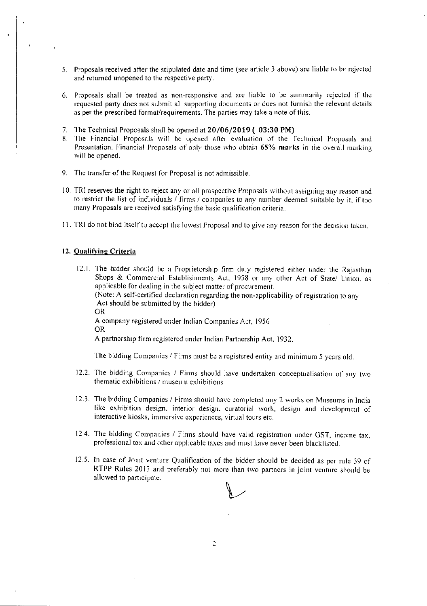- 5. Proposals received after the stipulated date and time (see article 3 above) are liable to be rejected and returned unopened to the respective party.
- 6. Proposals shall be treated as non-responsive and are liable to be summarily rejected if the requested party does not submit all supporting documents or does not furnish the relevant details as per the prescribed format/requirements. The parties may take a note of this.
- 7. The Technical Proposals shall be opened at 20/06/2019 (03:30 PM)
- 8. The Financial Proposals will be opened after evaluation of the Techuical Proposals and Presentation. Financial Proposals of only those who obtain 65% marks in the overall marking will be opened<br>.
- 9. The transfer of the Request for Proposal is not admissible.
- 10. TRI reserves the right to reject any or all prospective Proposals without assigning any reason and to restrict the list of individuals / firms / companies to any number deemed suitable by it, if too many Proposals are received satisfying the basic qualification criteria.
- 11. TRI do not bind itself to accept the Iowest Proposal and to give any reason for the decision taken.

#### 12. Oualifvine Criteria

12.1. The bidder should be a Proprietorship firm duly registered either under the Rajasthan Shops & Commercial Establishments Act. 1958 or any other Act of State/ Union, as applicable for dealing in the subject matter of procurement. (Note: A self-certified declaration regarding the non-applicability of registration to any Act should be submitted by the bidder) OR A company registered under lndian Cornpanies Act, 1956 OR A partnership firm registered under Indian Partnership Act, 1932.

The bidding Companies / Firms must be a registered entity and minimum 5 years old.

- 12.2. The bidding Companies / Firms should have undertaken conceptualisation of any two thematic exhibitions / museum exhibitions.
- 12.3. The bidding Companies / Firms should have completed any 2 works on Museums in India like exhibition design, interior design, curatorial work, design and development of interactive kiosks, immersive experiences, virtual tours etc.
- 12.4. The bidding Companies / Firms should have valid registration under GST, income tax, professional tax and other applicable taxes and must have never been blacklisted.
- 12.5. In case of Joint venture Qualification of the bidder should be decided as per rule 39 of RTPP Rules 2013 and preferably not more than two partners in joint venture should be allowed to participate.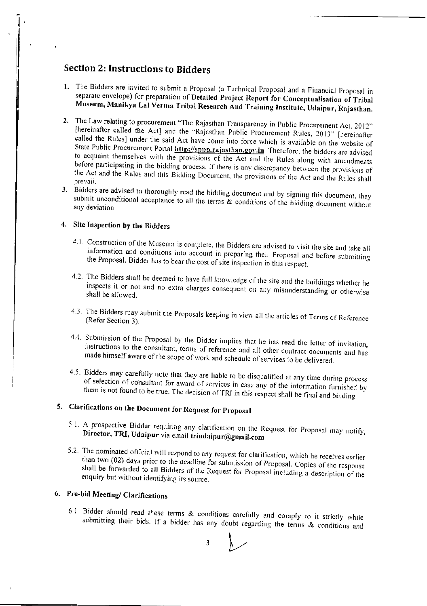# **Section 2: Instructions to Bidders**

- 1. The Bidders are invited to submit a Proposal (a Technical Proposal and a Financial Proposal in separate envelope) for preparation of Detailed Project Report for Conceptualisation of Tribal Museum, Manikya Lal Verma Tribal Research And Training Institute, Udaipur, Rajasthan.
- 2. The Law relating to procurement "The Rajasthan Transparency in Public Procurement Act, 2012" [hereinafter called the Act] and the "Rajasthan Public Procurement Rules, 2013" [hereinafter called the Rules] under the said Act have come into force which is available on the website of State Public Procurement Portal **http://sppp.rajasthan.gov.in**. Therefore, the bidders are advised to acquaint themselves with the provisions of the Act and the Rules along with amendments before participating in the bidding process. If there is any discrepancy between the provisions of the Act and the Rules and this Bidding Document, the provisions of the Act and the Rules shall prevail.
- 3. Bidders are advised to thoroughly read the bidding document and by signing this document, they submit unconditional acceptance to all the terms  $\&$  conditions of the bidding document without any deviation.

# 4. Site Inspection by the Bidders

- 4.1. Construction of the Museum is complete, the Bidders are advised to visit the site and take all information and conditions into account in preparing their Proposal and before submitting the Proposal. Bidder has to bear the cost of site inspection in this respect.
- 4.2. The Bidders shall be deemed to have full knowledge of the site and the buildings whether he inspects it or not and no extra charges consequent on any misunderstanding or otherwise shall be allowed.
- 4.3. The Bidders may submit the Proposals keeping in view all the articles of Terms of Reference (Refer Section 3).
- 4.4. Submission of the Proposal by the Bidder implies that he has read the letter of invitation, instructions to the consultant, terms of reference and all other contract documents and has made himself aware of the scope of work and schedule of services to be delivered.
- 4.5. Bidders may carefully note that they are liable to be disqualified at any time during process of selection of consultant for award of services in case any of the information furnished by them is not found to be true. The decision of TRI in this respect shall be final and binding.

# 5. Clarifications on the Document for Request for Proposal

- 5.1. A prospective Bidder requiring any clarification on the Request for Proposal may notify, Director, TRI, Udaipur via email triudaipur@gmail.com
- 5.2. The nominated official will respond to any request for clarification, which he receives earlier than two (02) days prior to the deadline for submission of Proposal. Copies of the response shall be forwarded to all Bidders of the Request for Proposal including a description of the enquiry but without identifying its source.

# 6. Pre-bid Meeting/ Clarifications

6.1 Bidder should read these terms & conditions carefully and comply to it strictly while submitting their bids. If a bidder has any doubt regarding the terms & conditions and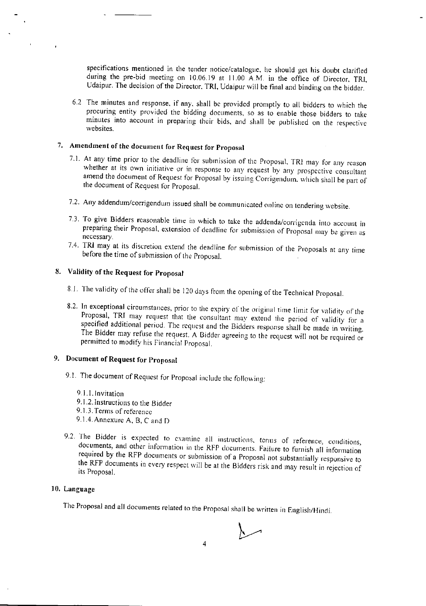specifications mentioned in the tender notice/catalogue, he should get his doubt clarified during the pre-bid meeting on 10.06.19 at 11.00 A.M. in the office of Director, TRI, Udaipur. The decision of the Director, TRI, Udaipur will be final and binding on the bidder.

6.2 The minutes and response, if any, shall be provided promptly to all bidders to which the procuring entity provided the bidding documents, so as to enable those bidders to take minutes into account in preparing their bids, and shall be published on the respective websites.

# 7. Amendment of the document for Request for Proposal

- 7.1. At any time prior to the deadline for submission of the Proposal, TRI may for any reason whether at its own initiative or in response to any request by any prospective consultant amend the document of Request for Proposal by issuing Corrigendum, which shall be part of the document of Request for Proposal.
- 7.2. Any addendum/corrigendum issued shall be communicated online on tendering website.
- 7.3. To give Bidders reasonable time in which to take the addenda/corrigenda into account in preparing their Proposal, extension of deadline for submission of Proposal may be given as necessary.
- 7.4. TRI may at its discretion extend the deadline for submission of the Proposals at any time before the time of submission of the Proposal.

# 8. Validity of the Request for Proposal

- 8.1. The validity of the offer shall be 120 days from the opening of the Technical Proposal.
- 8.2. In exceptional circumstances, prior to the expiry of the original time limit for validity of the Proposal, TRI may request that the consultant may extend the period of validity for a specified additional period. The request and the Bidders response shall be made in writing. The Bidder may refuse the request. A Bidder agreeing to the request will not be required or permitted to modify his Financial Proposal.

# 9. Document of Request for Proposal

- 9.1. The document of Request for Proposal include the following:
	- 9.1.1. Invitation
	- 9.1.2. Instructions to the Bidder
	- 9.1.3. Terms of reference
	- 9.1.4. Annexure A, B, C and D
- 9.2. The Bidder is expected to examine all instructions, terms of reference, conditions, documents, and other information in the RFP documents. Failure to furnish all information required by the RFP documents or submission of a Proposal not substantially responsive to the RFP documents in every respect will be at the Bidders risk and may result in rejection of its Proposal.

#### 10. Language

The Proposal and all documents related to the Proposal shall be written in English/Hindi.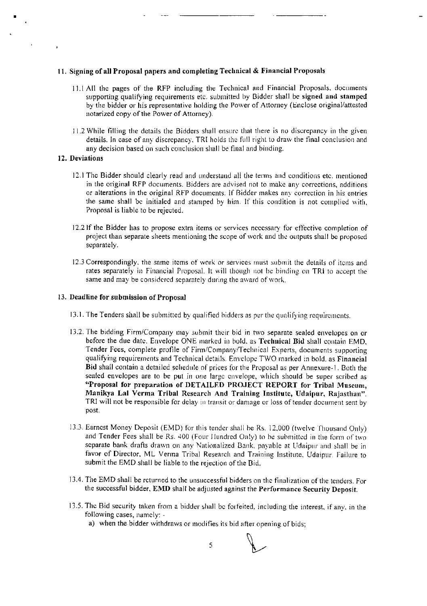#### 11. Signing of all Proposal papers and completing Technical & Financial Proposals

- 11.1 All the pages of the RFP including the Technical and Financial Proposals, documents supporting qualifying requirements etc. submitted by Bidder shall be signed and stamped by the bidder or his representative holding the Power of Attorney (Enclose original/attested notarized copy of the Power of Attorney).
- 11.2 While filling the details the Bidders shall ensure that there is no discrepancy in the given details. In case of any discrepancy, TRI holds the full right to draw the final conclusion and any decision based on such conclusion shall be final and binding.

#### 12. Deviations

- 12.1 The Bidder should clearly read and understand all the terms and conditions etc. mentioned in the original RFP documents. Bidders are advised not to make any corrections, additions or alterations in the original RFP documents. If Bidder makes any correction in his entries the same shall be initialed and stamped by him. If this condition is not complied with. Proposal is liable to be rejected.
- 12.2 If the Bidder has to propose extra items or services necessary for effective completion of project than separate sheets mentioning the scope of work and the outputs shall be proposed separately.
- 12.3 Correspondingly, the same items of work or services must submit the details of items and rates separately in Financial Proposal. It will though not be binding on TRI to accept the same and may be considered separately during the award of work.

#### 13. Deadline for submission of Proposal

- 13.1. The Tenders shall be submitted by qualified bidders as per the qualifying requirements.
- 13.2. The bidding Firm/Company may submit their bid in two separate sealed envelopes on or before the due date. Envelope ONE marked in bold, as Technical Bid shall contain EMD, Tender Fees, complete profile of Firm/Company/Technical Experts, documents supporting qualifying requirements and Technical details. Envelope TWO marked in bold, as Financial Bid shall contain a detailed schedule of prices for the Proposal as per Annexure-1. Both the sealed envelopes are to be put in one large envelope, which should be super scribed as "Proposal for preparation of DETAILED PROJECT REPORT for Tribal Museum, Manikya Lal Verma Tribal Research And Training Institute, Udaipur, Rajasthan". TRI will not be responsible for delay in transit or damage or loss of tender document sent by post.
- 13.3. Earnest Money Deposit (EMD) for this tender shall be Rs. 12,000 (twelve Thousand Only) and Tender Fees shall be Rs. 400 (Four Hundred Only) to be submitted in the form of two separate bank drafts drawn on any Nationalized Bank, payable at Udaipur and shall be in favor of Director, ML Verma Tribal Research and Training Institute, Udaipur. Failure to submit the EMD shall be liable to the rejection of the Bid.
- 13.4. The EMD shall be returned to the unsuccessful bidders on the finalization of the tenders. For the successful bidder, EMD shall be adjusted against the Performance Security Deposit.
- 13.5. The Bid security taken from a bidder shall be forfeited, including the interest, if any, in the following cases, namely:
	- a) when the bidder withdraws or modifies its bid after opening of bids;

5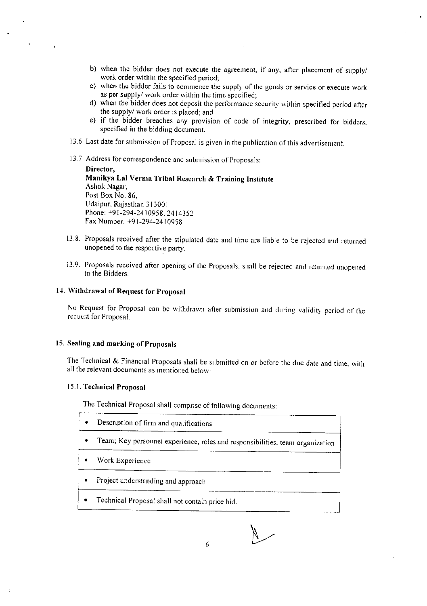- b) when the bidder does not execute the agreement, if any, after placement of supply/ work order within the specified period;
- c) when the bidder fails to commence the supply of the goods or service or execute work as per supply/ work order within the time specified;
- d) when the bidder does not deposit the performance security within specified period after the supply/ work order is placed; and
- e) if the bidder breaches any provision of code of integrity, prescribed for bidders, specified in the bidding document.
- 13.6. Last date for submission of Proposal is given in the publication of this advertisement.
- 13.7. Address for correspondence and submission of Proposals:

Director. Manikya Lal Verma Tribal Research & Training Institute Ashok Nagar, Post Box No. 86, Udaipur, Rajasthan 313001 Phone: +91-294-2410958, 2414352 Fax Number: +91-294-2410958

- 13.8. Proposals received after the stipulated date and time are liable to be rejected and returned unopened to the respective party.
- 13.9. Proposals received after opening of the Proposals, shall be rejected and returned unopened to the Bidders.

#### 14. Withdrawal of Request for Proposal

No Request for Proposal can be withdrawn after submission and during validity period of the request for Proposal.

#### 15. Sealing and marking of Proposals

The Technical & Financial Proposals shall be submitted on or before the due date and time, with all the relevant documents as mentioned below:

#### 15.1. Technical Proposal

The Technical Proposal shall comprise of following documents:

- Description of firm and qualifications
- $\bullet$ Team; Key personnel experience, roles and responsibilities, team organization
- Work Experience
- Project understanding and approach
- Technical Proposal shall not contain price bid.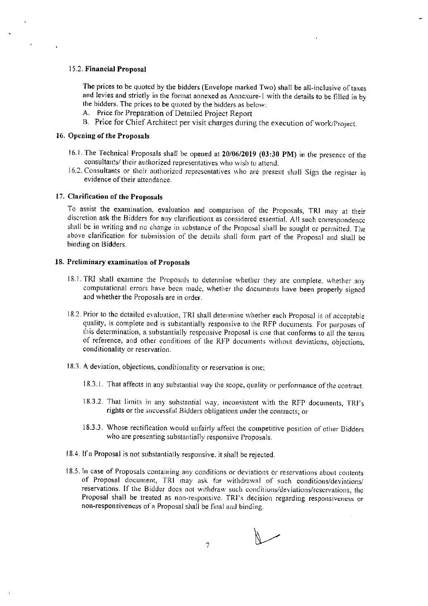#### 15.2. Financial Proposal

The prices to be quoted by the bidders (Envelope marked Two) shall be all-inclusive of taxes and levies and strictly in the format annexed as Annexure-1 with the details to be filled in by the bidders. The prices to be quoted by the bidders as below:

- A. Price for Preparation of Detailed Project Report
- B. Price for Chief Architect per visit charges during the execution of work/Project.

#### 16. Opening of the Proposals

- 16.1. The Technical Proposals shall be opened at 20/06/2019 (03:30 PM) in the presence of the consultants/ their authorized representatives who wish to attend.
- 16.2. Consultants or their authorized representatives who are present shall Sign the register in evidence of their attendance.

#### 17. Clarification of the Proposals

To assist the examination, evaluation and comparison of the Proposals, TRI may at their discretion ask the Bidders for any clarifications as considered essential. All such correspondence shall be in writing and no change in substance of the Proposal shall be sought or permitted. The above clarification for submission of the details shall form part of the Proposal and shall be binding on Bidders.

#### 18. Preliminary examination of Proposals

- 18.1. TRI shall examine the Proposals to determine whether they are complete, whether any computational errors have been made, whether the documents have been properly signed and whether the Proposals are in order.
- 18.2. Prior to the detailed evaluation, TRI shall determine whether each Proposal is of acceptable quality, is complete and is substantially responsive to the RFP documents. For purposes of this determination, a substantially responsive Proposal is one that conforms to all the terms of reference, and other conditions of the RFP documents without deviations, objections, conditionality or reservation.
- 18.3. A deviation, objections, conditionality or reservation is one;
	- 18.3.1. That affects in any substantial way the scope, quality or performance of the contract.
	- 18.3.2. That limits in any substantial way, inconsistent with the RFP documents, TRF's rights or the successful Bidders obligations under the contracts; or
	- 18.3.3. Whose rectification would unfairly affect the competitive position of other Bidders who are presenting substantially responsive Proposals.
- 18.4. If a Proposal is not substantially responsive, it shall be rejected.
- 18.5. In case of Proposals containing any conditions or deviations or reservations about contents of Proposal document, TRI may ask for withdrawal of such conditions/deviations/ reservations. If the Bidder does not withdraw such conditions/deviations/reservations, the Proposal shall be treated as non-responsive. TRI's decision regarding responsiveness or non-responsiveness of a Proposal shall be final and binding.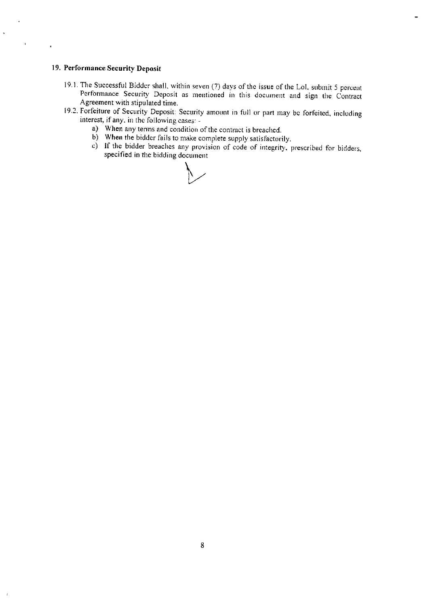#### 19. Performance Security Deposit

 $\hat{\mathbf{A}}$ 

 $\mathbf{r}$ 

- 19.1. The Successful Bidder shall, within seven (7) days of the issue of the Lol, submit 5 percent Performance Security Deposit as mentioned in this document and sign the Contract Agreement with stipulated time.
- 19.2. Forfeiture of Security Deposit: Security amount in full or part may be forfeited, including interest, if any, in the following cases:
	- a) When any terms and condition of the contract is breached.
	- b) When the bidder fails to make complete supply satisfactorily.
	- c) If the bidder breaches any provision of code of integrity, prescribed for bidders, specified in the bidding document

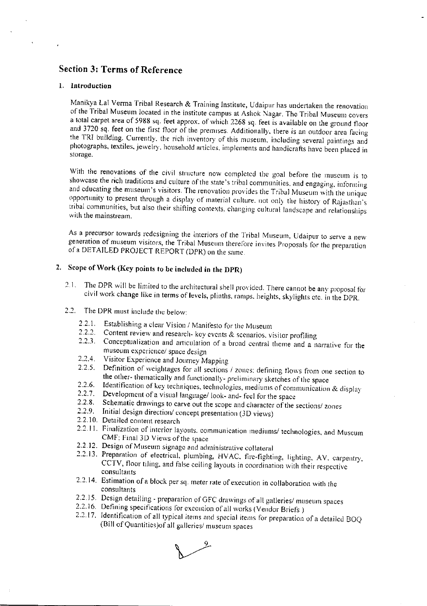# **Section 3: Terms of Reference**

#### 1. Introduction

Manikya Lal Verma Tribal Research & Training Institute, Udaipur has undertaken the renovation of the Tribal Museum located in the institute campus at Ashok Nagar. The Tribal Museum covers a total carpet area of 5988 sq. feet approx. of which 2268 sq. feet is available on the ground floor and 3720 sq. feet on the first floor of the premises. Additionally, there is an outdoor area facing the TRI building. Currently, the rich inventory of this museum, including several paintings and photographs, textiles, jewelry, household articles, implements and handicrafts have been placed in storage.

With the renovations of the civil structure now completed the goal before the museum is to showcase the rich traditions and culture of the state's tribal communities, and engaging, informing and educating the museum's visitors. The renovation provides the Tribal Museum with the unique opportunity to present through a display of material culture, not only the history of Rajasthan's tribal communities, but also their shifting contexts, changing cultural landscape and relationships with the mainstream.

As a precursor towards redesigning the interiors of the Tribal Museum, Udaipur to serve a new generation of museum visitors, the Tribal Museum therefore invites Proposals for the preparation of a DETAILED PROJECT REPORT (DPR) on the same.

# 2. Scope of Work (Key points to be included in the DPR)

- The DPR will be limited to the architectural shell provided. There cannot be any proposal for  $2.1.$ civil work change like in terms of levels, plinths, ramps, heights, skylights etc. in the DPR.
- 2.2. The DPR must include the below:
	- 2.2.1. Establishing a clear Vision / Manifesto for the Museum
	- Content review and research- key events & scenarios, visitor profiling  $2.2.2.$
	- Conceptualization and articulation of a broad central theme and a narrative for the  $2.2.3.$ museum experience/ space design
	- Visitor Experience and Journey Mapping  $2.2.4.$
	- Definition of weightages for all sections / zones; defining flows from one section to  $2.2.5.$ the other-thematically and functionally-preliminary sketches of the space
	- $2.2.6.$ Identification of key techniques, technologies, mediums of communication & display
	- $2.2.7.$ Development of a visual language/look- and-feel for the space
	- $2.28$ Schematic drawings to carve out the scope and character of the sections/ zones
	- $2.2.9$ Initial design direction/ concept presentation (3D views)
	- 2.2.10. Detailed content research
	- 2.2.11. Finalization of interior layouts, communication mediums/ technologies, and Museum CMF; Final 3D Views of the space
	- 2.2.12. Design of Museum signage and administrative collateral
	- 2.2.13. Preparation of electrical, plumbing, HVAC, fire-fighting, lighting, AV, carpentry, CCTV, floor tiling, and false ceiling layouts in coordination with their respective consultants
	- 2.2.14. Estimation of a block per sq. meter rate of execution in collaboration with the consultants
	- 2.2.15. Design detailing preparation of GFC drawings of all galleries/ museum spaces
	- 2.2.16. Defining specifications for execution of all works (Vendor Briefs)
	- 2.2.17. Identification of all typical items and special items for preparation of a detailed BOQ (Bill of Quantities) of all galleries/ museum spaces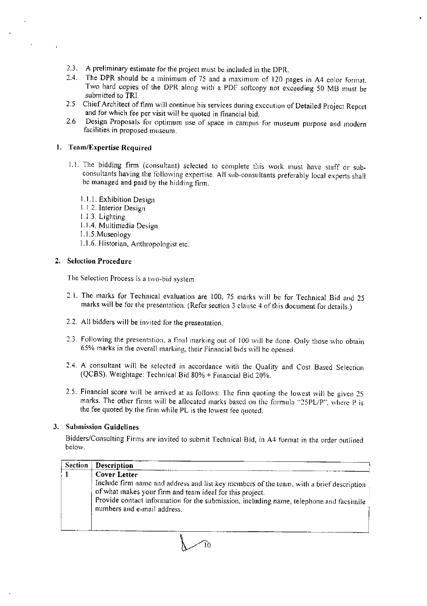- 2.3. A preliminary estimate for the project must be included in the DPR.
- 2.4. The DPR should be a minimum of 75 and a maximum of 120 pages in A4 color format. Two hard copies of the DPR along with a PDF softcopy not exceeding 50 MB must be submitted to TRI.
- 2.5 Chief Architect of firm will continue his services during execution of Detailed Project Report and for which fee per visit will be quoted in financial bid.
- $2.6$ Design Proposals for optimum use of space in campus for museum purpose and modern facilities in proposed museum.

#### 1. Team/Expertise Required

- 1.1. The bidding firm (consultant) selected to complete this work must have staff or subconsultants having the following expertise. All sub-consultants preferably local experts shall be managed and paid by the bidding firm.
	- 1.1.1. Exhibition Design
	- 1.1.2. Interior Design
	- $1.1.3.$  Lighting
	- 1.1.4. Multimedia Design
	- 1.1.5. Museology
	- 1.1.6. Historian, Anthropologist etc.

#### 2. Selection Procedure

The Selection Process is a two-bid system

- 2.1. The marks for Technical evaluation are 100, 75 marks will be for Technical Bid and 25 marks will be for the presentation. (Refer section 3 clause 4 of this document for details.)
- 2.2. All bidders will be invited for the presentation.
- 2.3. Following the presentation, a final marking out of 100 will be done. Only those who obtain 65% marks in the overall marking, their Financial bids will be opened.
- 2.4. A consultant will be selected in accordance with the Quality and Cost Based Selection (QCBS). Weightage: Technical Bid 80% + Financial Bid 20%.
- 2.5. Financial score will be arrived at as follows: The firm quoting the lowest will be given 25 marks. The other firms will be allocated marks based on the formula "25PL/P", where P is the fee quoted by the firm while PL is the lowest fee quoted.

### 3. Submission Guidelines

Bidders/Consulting Firms are invited to submit Technical Bid, in A4 format in the order outlined below.

| <b>Description</b>                                                                                                                                                                                                                                                                             |
|------------------------------------------------------------------------------------------------------------------------------------------------------------------------------------------------------------------------------------------------------------------------------------------------|
| Cover Letter<br>Include firm name and address and list key members of the team, with a brief description<br>of what makes your firm and team ideal for this project.<br>Provide contact information for the submission, including name, telephone and facsimile<br>numbers and e-mail address. |
|                                                                                                                                                                                                                                                                                                |

ົາດ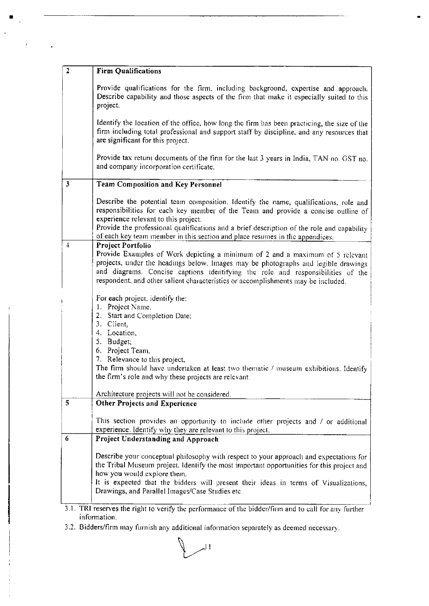| $\overline{2}$          | <b>Firm Qualifications</b>                                                                                                                                                                                                                                                                                                                  |
|-------------------------|---------------------------------------------------------------------------------------------------------------------------------------------------------------------------------------------------------------------------------------------------------------------------------------------------------------------------------------------|
|                         | Provide qualifications for the firm, including background, expertise and approach,<br>Describe capability and those aspects of the firm that make it especially suited to this<br>project.                                                                                                                                                  |
|                         | Identify the location of the office, how long the firm has been practicing, the size of the<br>firm including total professional and support staff by discipline, and any resources that<br>are significant for this project.                                                                                                               |
|                         | Provide tax return documents of the firm for the last 3 years in India, TAN no. GST no.<br>and company incorporation certificate.                                                                                                                                                                                                           |
| $\overline{\mathbf{3}}$ | Team Composition and Key Personnel                                                                                                                                                                                                                                                                                                          |
|                         | Describe the potential team composition. Identify the name, qualifications, role and<br>responsibilities for each key member of the Team and provide a concise outline of<br>experience relevant to this project.<br>Provide the professional qualifications and a brief description of the role and capability                             |
| 4                       | of each key team member in this section and place resumes in the appendices.<br>Project Portfolio                                                                                                                                                                                                                                           |
|                         | Provide Examples of Work depicting a minimum of 2 and a maximum of 5 relevant<br>projects, under the headings below. Images may be photographs and legible drawings<br>and diagrams. Concise captions identifying the role and responsibilities of the<br>respondent, and other salient characteristics or accomplishments may be included. |
|                         | For each project, identify the:                                                                                                                                                                                                                                                                                                             |
|                         | 1. Project Name.<br>2. Start and Completion Date;                                                                                                                                                                                                                                                                                           |
|                         | 3. Client,                                                                                                                                                                                                                                                                                                                                  |
|                         | 4. Location,<br>5. Budget;                                                                                                                                                                                                                                                                                                                  |
|                         | 6. Project Team,                                                                                                                                                                                                                                                                                                                            |
|                         | 7. Relevance to this project,                                                                                                                                                                                                                                                                                                               |
|                         | The firm should have undertaken at least two thematic / museum exhibitions. Identify<br>the firm's role and why these projects are relevant.                                                                                                                                                                                                |
|                         | Architecture projects will not be considered.                                                                                                                                                                                                                                                                                               |
| 5                       | <b>Other Projects and Experience</b>                                                                                                                                                                                                                                                                                                        |
|                         | This section provides an opportunity to include other projects and / or additional                                                                                                                                                                                                                                                          |
|                         | experience. Identify why they are relevant to this project.                                                                                                                                                                                                                                                                                 |
| 6                       | Project Understanding and Approach                                                                                                                                                                                                                                                                                                          |
|                         | Describe your conceptual philosophy with respect to your approach and expectations for<br>the Tribal Museum project. Identify the most important opportunities for this project and                                                                                                                                                         |
|                         | how you would explore them.<br>It is expected that the bidders will present their ideas in terms of Visualizations,                                                                                                                                                                                                                         |
|                         | Drawings, and Parallel Images/Case Studies etc.                                                                                                                                                                                                                                                                                             |
|                         | 3.1. TRI reserves the right to verify the performance of the bidder/firm and to call for any further                                                                                                                                                                                                                                        |
|                         | information.                                                                                                                                                                                                                                                                                                                                |

 $\bullet$ 

 $\blacksquare$ 

 $\alpha$ 

 $\overline{\phantom{a}}$ 

 $\hat{\mathcal{A}}$ 

 $\ddot{\cdot}$ 

3.2. Bidders/firm may furnish any additional information separately as deemed necessary.

 $\sim$ <sup>11</sup>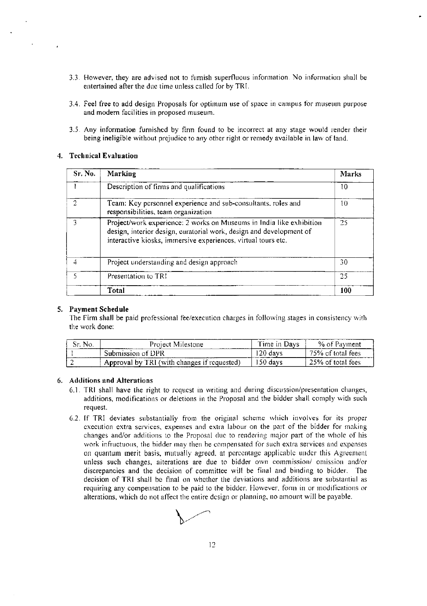- 3.3. However, they are advised not to furnish superfluous information. No information shall be entertained after the due time unless called for by TRI.
- 3.4. Feel free to add design Proposals for optimum use of space in campus for museum purpose and modern facilities in proposed museum.
- 3.5. Any information furnished by firm found to be incorrect at any stage would render their being ineligible without prejudice to any other right or remedy available in law of land.

#### 4. Technical Evaluation

| Sr. No. | Marking                                                                                                                                                                                                      | <b>Marks</b> |
|---------|--------------------------------------------------------------------------------------------------------------------------------------------------------------------------------------------------------------|--------------|
|         | Description of firms and qualifications                                                                                                                                                                      | 10           |
| 2       | Team: Key personnel experience and sub-consultants, roles and<br>responsibilities, team organization                                                                                                         | 10           |
|         | Project/work experience: 2 works on Museums in India like exhibition<br>design, interior design, curatorial work, design and development of<br>interactive kiosks, immersive experiences, virtual tours etc. | 25           |
| 4       | Project understanding and design approach                                                                                                                                                                    | 30           |
| ۲       | Presentation to TRI                                                                                                                                                                                          | 25           |
|         | Total                                                                                                                                                                                                        | 100          |

#### 5. Payment Schedule

The Firm shall be paid professional fee/execution charges in following stages in consistency with the work done:

| Sr. No. | Project Milestone                           | Time in Days | % of Pavment      |
|---------|---------------------------------------------|--------------|-------------------|
|         | Submission of DPR                           | 120 davs     | 75% of total fees |
|         | Approval by TRI (with changes if requested) | 150 days     | 25% of total fees |

## 6. Additions and Alterations

- 6.1. TRI shall have the right to request in writing and during discussion/presentation changes, additions, modifications or deletions in the Proposal and the bidder shall comply with such request.
- 6.2. If TRI deviates substantially from the original scheme which involves for its proper execution extra services, expenses and extra labour on the part of the bidder for making changes and/or additions to the Proposal due to rendering major part of the whole of his work infructuous, the bidder may then be compensated for such extra services and expenses on quantum merit basis, mutually agreed, at percentage applicable under this Agreement unless such changes, alterations are due to bidder own commission/ omission and/or discrepancies and the decision of committee will be final and binding to bidder. The decision of TRI shall be final on whether the deviations and additions are substantial as requiring any compensation to be paid to the bidder. However, form in or modifications or alterations, which do not affect the entire design or planning, no amount will be payable.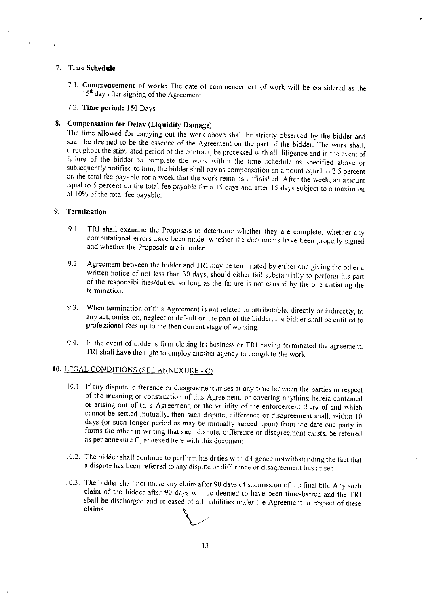#### 7. Time Schedule

- 7.1. Commencement of work: The date of commencement of work will be considered as the  $15<sup>th</sup>$  day after signing of the Agreement.
- 7.2. Time period: 150 Days

# 8. Compensation for Delay (Liquidity Damage)

The time allowed for carrying out the work above shall be strictly observed by the bidder and shall be deemed to be the essence of the Agreement on the part of the bidder. The work shall, throughout the stipulated period of the contract, be processed with all diligence and in the event of failure of the bidder to complete the work within the time schedule as specified above or subsequently notified to him, the bidder shall pay as compensation an amount equal to 2.5 percent on the total fee payable for a week that the work remains unfinished. After the week, an amount equal to 5 percent on the total fee payable for a 15 days and after 15 days subject to a maximum of 10% of the total fee payable.

#### 9. Termination

- 9.1. TRI shall examine the Proposals to determine whether they are complete, whether any computational errors have been made, whether the documents have been properly signed and whether the Proposals are in order.
- 9.2. Agreement between the bidder and TRI may be terminated by either one giving the other a written notice of not less than 30 days, should either fail substantially to perform his part of the responsibilities/duties, so long as the failure is not caused by the one initiating the termination.
- When termination of this Agreement is not related or attributable, directly or indirectly, to  $9.3.$ any act, omission, neglect or default on the part of the bidder, the bidder shall be entitled to professional fees up to the then current stage of working.
- 9.4. In the event of bidder's firm closing its business or TRI having terminated the agreement, TRI shall have the right to employ another agency to complete the work.

## 10. LEGAL CONDITIONS (SEE ANNEXURE - C)

- 10.1. If any dispute, difference or disagreement arises at any time between the parties in respect of the meaning or construction of this Agreement, or covering anything herein contained or arising out of this Agreement, or the validity of the enforcement there of and which cannot be settled mutually, then such dispute, difference or disagreement shall, within 10 days (or such longer period as may be mutually agreed upon) from the date one party in forms the other in writing that such dispute, difference or disagreement exists, be referred as per annexure C, annexed here with this document.
- 10.2. The bidder shall continue to perform his duties with diligence notwithstanding the fact that a dispute has been referred to any dispute or difference or disagreement has arisen.
- 10.3. The bidder shall not make any claim after 90 days of submission of his final bill. Any such claim of the bidder after 90 days will be deemed to have been time-barred and the TRI shall be discharged and released of all liabilities under the Agreement in respect of these claims.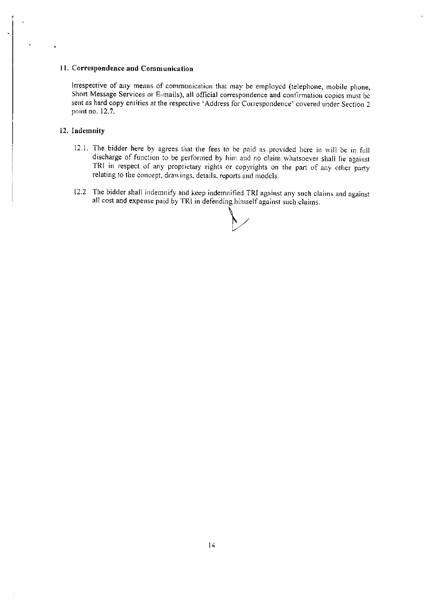#### 11. Correspondence and Communication

Irrespective of any means of communication that may be employed (telephone, mobile phone, Short Message Services or E-mails), all official correspondence and confirmation copies must be sent as hard copy entities at the respective 'Address for Correspondence' covered under Section 2 point no. 12.7.

#### 12. Indemnity

- 12.1. The bidder here by agrees that the fees to be paid as provided here in will be in full discharge of function to be performed by him and no claim whatsoever shall lie against TRI in respect of any proprietary rights or copyrights on the part of any other party relating to the concept, drawings, details, reports and models.
- 12.2. The bidder shall indemnify and keep indemnified TRI against any such claims and against all cost and expense paid by TRI in defending himself against such claims.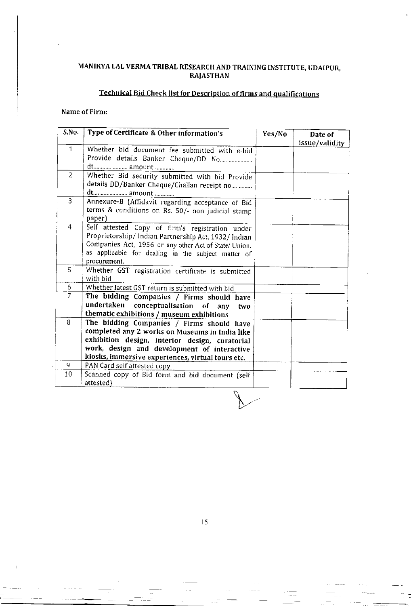# MANIKYA LAL VERMA TRIBAL RESEARCH AND TRAINING INSTITUTE, UDAIPUR,<br>RAJASTHAN

# Technical Bid Check list for Description of firms and qualifications

## Name of Firm:

للمعادي

| S.No.          | Type of Certificate & Other information's                                                                                                                                                                                                         | Yes/No | Date of<br>issue/validity |
|----------------|---------------------------------------------------------------------------------------------------------------------------------------------------------------------------------------------------------------------------------------------------|--------|---------------------------|
| $\mathbf{1}$   | Whether bid document fee submitted with e-bid<br>Provide details Banker Cheque/DD No                                                                                                                                                              |        |                           |
|                |                                                                                                                                                                                                                                                   |        |                           |
| $\overline{2}$ | Whether Bid security submitted with bid Provide<br>details DD/Banker Cheque/Challan receipt no                                                                                                                                                    |        |                           |
| 3              | Annexure-B (Affidavit regarding acceptance of Bid<br>terms & conditions on Rs. 50/- non judicial stamp<br>paper)                                                                                                                                  |        |                           |
| 4              | Self attested Copy of firm's registration under<br>Proprietorship/Indian Partnership Act, 1932/Indian<br>Companies Act, 1956 or any other Act of State/ Union,<br>as applicable for dealing in the subject matter of<br>procurement.              |        |                           |
| $\mathbf{5}$   | Whether GST registration certificate is submitted<br>with bid                                                                                                                                                                                     |        |                           |
| 6              | Whether latest GST return is submitted with bid                                                                                                                                                                                                   |        |                           |
| $\overline{7}$ | The bidding Companies / Firms should have<br>undertaken conceptualisation of any<br>two.<br>thematic exhibitions / museum exhibitions                                                                                                             |        |                           |
| 8              | The bidding Companies / Firms should have<br>completed any 2 works on Museums in India like<br>exhibition design, interior design, curatorial<br>work, design and development of interactive<br>kiosks, immersive experiences, virtual tours etc. |        |                           |
| 9              | PAN Card self attested copy                                                                                                                                                                                                                       |        |                           |
| 10             | Scanned copy of Bid form and bid document (self<br>attested)                                                                                                                                                                                      |        |                           |

 $15$ 

 $\mathbb{R}^2$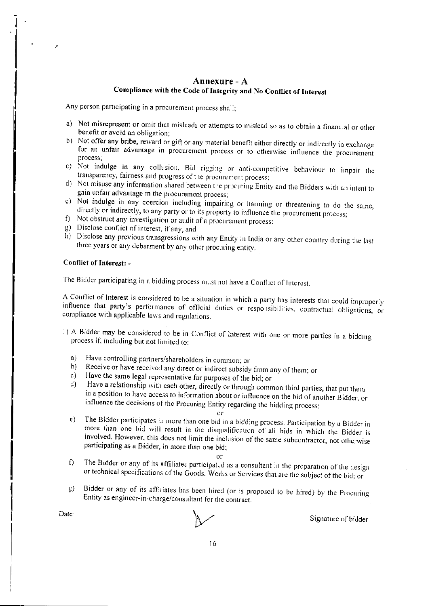## Annexure - A Compliance with the Code of Integrity and No Conflict of Interest

Any person participating in a procurement process shall;

- a) Not misrepresent or omit that misleads or attempts to mislead so as to obtain a financial or other benefit or avoid an obligation.
- b) Not offer any bribe, reward or gift or any material benefit either directly or indirectly in exchange for an unfair advantage in procurement process or to otherwise influence the procurement process;
- c) Not indulge in any collusion, Bid rigging or anti-competitive behaviour to impair the transparency, fairness and progress of the procurement process;
- d) Not misuse any information shared between the procuring Entity and the Bidders with an intent to gain unfair advantage in the procurement process;
- e) Not indulge in any coercion including impairing or harming or threatening to do the same, directly or indirectly, to any party or to its property to influence the procurement process;
- f) Not obstruct any investigation or audit of a procurement process;
- g) Disclose conflict of interest, if any, and
- h) Disclose any previous transgressions with any Entity in India or any other country during the last three years or any debarment by any other procuring entity.

### Conflict of Interest: -

The Bidder participating in a bidding process must not have a Conflict of Interest.

A Conflict of Interest is considered to be a situation in which a party has interests that could improperly influence that party's performance of official duties or responsibilities, contractual obligations, or compliance with applicable laws and regulations.

- 1) A Bidder may be considered to be in Conflict of Interest with one or more parties in a bidding process if, including but not limited to:
	- Have controlling partners/shareholders in common; or  $a)$
	- Receive or have received any direct or indirect subsidy from any of them; or  $b)$
	- Have the same legal representative for purposes of the bid; or  $c$ )
	- Have a relationship with each other, directly or through common third parties, that put them  $\mathbf{d}$ in a position to have access to information about or influence on the bid of another Bidder, or influence the decisions of the Procuring Entity regarding the bidding process;
		- $or$
	- The Bidder participates in more than one bid in a bidding process. Participation by a Bidder in  $e)$ more than one bid will result in the disqualification of all bids in which the Bidder is involved. However, this does not limit the inclusion of the same subcontractor, not otherwise participating as a Bidder, in more than one bid;

- The Bidder or any of its affiliates participated as a consultant in the preparation of the design  $\mathbf{D}$ or technical specifications of the Goods. Works or Services that are the subject of the bid; or
- Bidder or any of its affiliates has been hired (or is proposed to be hired) by the Procuring  $g)$ Entity as engineer-in-charge/consultant for the contract.

Date:

Signature of bidder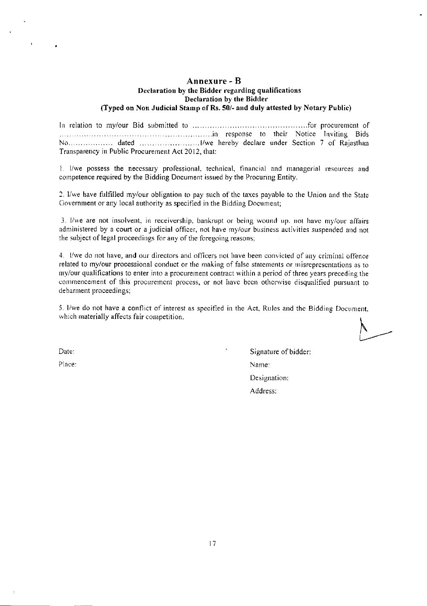#### Annexure - B Declaration by the Bidder regarding qualifications Declaration by the Bidder (Typed on Non Judicial Stamp of Rs. 50/- and duly attested by Notary Public)

Transparency in Public Procurement Act 2012, that:

1. I/we possess the necessary professional, technical, financial and managerial resources and competence required by the Bidding Document issued by the Procuring Entity.

2. I/we have fulfilled my/our obligation to pay such of the taxes payable to the Union and the State Government or any local authority as specified in the Bidding Document;

3. I/we are not insolvent, in receivership, bankrupt or being wound up, not have my/our affairs administered by a court or a judicial officer, not have my/our business activities suspended and not the subject of legal proceedings for any of the foregoing reasons;

4. I/we do not have, and our directors and officers not have been convicted of any criminal offence related to my/our processional conduct or the making of false statements or misrepresentations as to my/our qualifications to enter into a procurement contract within a period of three years preceding the commencement of this procurement process, or not have been otherwise disqualified pursuant to debarment proceedings;

5. I/we do not have a conflict of interest as specified in the Act, Rules and the Bidding Document, which materially affects fair competition.

Date:

Place:

Signature of bidder: Name: Designation: Address: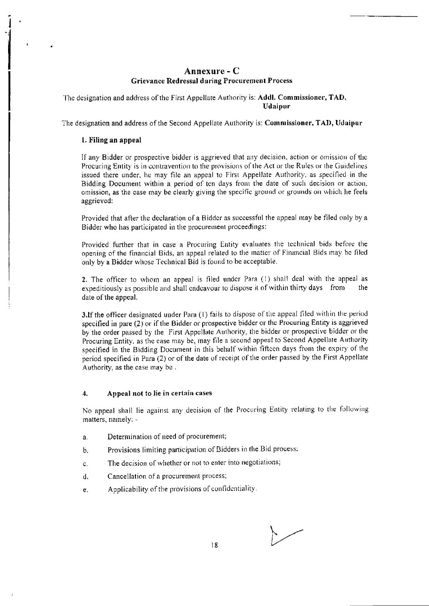## Annexure - C **Grievance Redressal during Procurement Process**

The designation and address of the First Appellate Authority is: Addl. Commissioner, TAD, **Udaipur** 

The designation and address of the Second Appellate Authority is: Commissioner, TAD, Udaipur

#### 1. Filing an appeal

If any Bidder or prospective bidder is aggrieved that any decision, action or omission of the Procuring Entity is in contravention to the provisions of the Act or the Rules or the Guidelines issued there under, he may file an appeal to First Appellate Authority, as specified in the Bidding Document within a period of ten days from the date of such decision or action. omission, as the case may be clearly giving the specific ground or grounds on which he feels aggrieved:

Provided that after the declaration of a Bidder as successful the appeal may be filed only by a Bidder who has participated in the procurement proceedings:

Provided further that in case a Procuring Entity evaluates the technical bids before the opening of the financial Bids, an appeal related to the matter of Financial Bids may be filed only by a Bidder whose Technical Bid is found to be acceptable.

2. The officer to whom an appeal is filed under Para (1) shall deal with the appeal as expeditiously as possible and shall endeavour to dispose it of within thirty days from the date of the appeal.

3.If the officer designated under Para (1) fails to dispose of the appeal filed within the period specified in pare  $(2)$  or if the Bidder or prospective bidder or the Procuring Entity is aggrieved by the order passed by the First Appellate Authority, the bidder or prospective bidder or the Procuring Entity, as the case may be, may file a second appeal to Second Appellate Authority specified in the Bidding Document in this behalf within fifteen days from the expiry of the period specified in Para (2) or of the date of receipt of the order passed by the First Appellate Authority, as the case may be.

#### $\overline{4}$ . Appeal not to lie in certain cases

No appeal shall lie against any decision of the Procuring Entity relating to the following matters, namely: -

- Determination of need of procurement;  $a<sub>r</sub>$
- Provisions limiting participation of Bidders in the Bid process; b.
- The decision of whether or not to enter into negotiations;  $\mathbf{c}$ .
- Cancellation of a procurement process; d.
- Applicability of the provisions of confidentiality.  $\mathbf{e}$